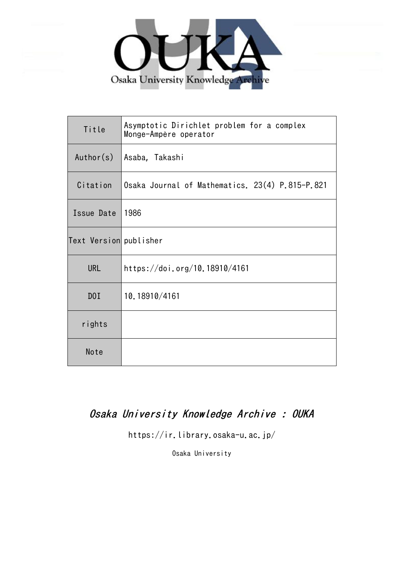

| Title                  | Asymptotic Dirichlet problem for a complex<br>Monge-Ampère operator |
|------------------------|---------------------------------------------------------------------|
| Author(s)              | Asaba, Takashi                                                      |
| Citation               | Osaka Journal of Mathematics. 23(4) P.815-P.821                     |
| Issue Date             | 1986                                                                |
| Text Version publisher |                                                                     |
| <b>URL</b>             | https://doi.org/10.18910/4161                                       |
| DOI                    | 10.18910/4161                                                       |
| rights                 |                                                                     |
| Note                   |                                                                     |

# Osaka University Knowledge Archive : OUKA

https://ir.library.osaka-u.ac.jp/

Osaka University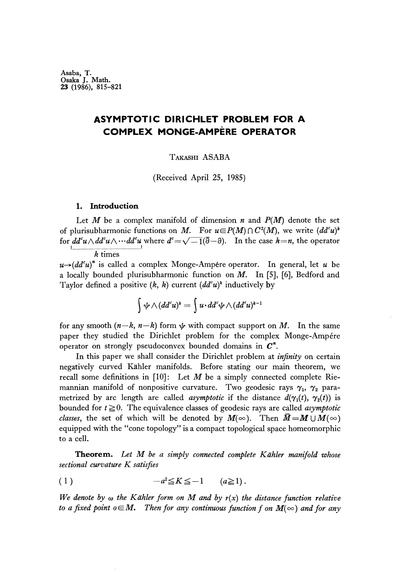Asaba, T. Osaka J. Math. 23 (1986), 815-821

# **ASYMPTOTIC DIRICHLET PROBLEM FOR A COMPLEX MONGE-AMPERE OPERATOR**

## TAKASHI ASABA

(Received April 25, 1985)

#### **1. Introduction**

Let  $M$  be a complex manifold of dimension  $n$  and  $P(M)$  denote the set of plurisubharmonic functions on M. For  $u \in P(M) \cap C^2(M)$ , we write  $(dd^c u)^k$ for  $dd^c u \wedge dd^c u \wedge \cdots dd^c u$  where  $d^c{=}\sqrt{-1}(\overline{\partial}-\partial)$ . In the case  $k{=}n$ , the operator

*k* times

*u*→( $dd^c u$ )<sup>*n*</sup> is called a complex Monge-Ampére operator. In general, let *u* be a locally bounded plurisubharmonic function on *M.* In [5], [6], Bedford and Taylor defined a positive  $(k, k)$  current  $(dd^c u)^k$  inductively by

$$
\int \psi \wedge (dd^c u)^k = \int u \cdot dd^c \psi \wedge (dd^c u)^{k-1}
$$

for any smooth  $(n-k, n-k)$  form  $\psi$  with compact support on M. In the same paper they studied the Dirichlet problem for the complex Monge-Ampére operator on strongly pseudoconvex bounded domains in *C<sup>n</sup> .*

In this paper we shall consider the Dirichlet problem at *infinity* on certain negatively curved Kahler manifolds. Before stating our main theorem, we recall some definitions in  $[10]$ : Let M be a simply connected complete Riemannian manifold of nonpositive curvature. Two geodesic rays γ<sub>1</sub>, γ<sub>2</sub> parametrized by arc length are called *asymptotic* if the distance  $d(\gamma_1(t), \gamma_2(t))$  is bounded for  $t \geq 0$ . The equivalence classes of geodesic rays are called *asymptotic classes,* the set of which will be denoted by  $M(\infty)$ . Then  $\bar{M} = M \cup M(\infty)$ equipped with the "cone topology" is a compact topological space homeomorphic to a cell.

**Theorem.** *Let M be a simply connected complete Kάhler manifold whose sectional curvature K satisfies*

$$
(1) \t -a^2 \le K \le -1 \t (a \ge 1).
$$

*We denote by ω the Kάhler form on M and by r(x) the distance function relative to a fixed point o* $\in$ *M.* Then for any continuous function f on  $M(\infty)$  and for any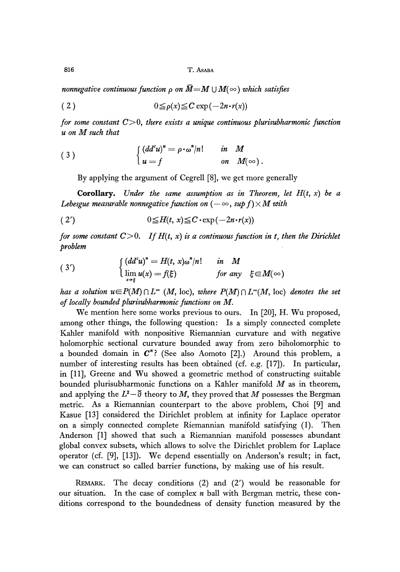816 T. ASABA

*nonnegative continuous function*  $\rho$  *on*  $\overline{M}=M\cup M(\infty)$  which satisfies

$$
(2) \t\t\t 0 \leq \rho(x) \leq C \exp(-2n \cdot r(x))
$$

*for some constant* C>0, *there exists a unique continuous plurisubharmonic function u on M such that*

(3) 
$$
\begin{cases} (dd^c u)^n = \rho \cdot \omega^n / n! & \text{in } M \\ u = f & \text{on } M(\infty). \end{cases}
$$

By applying the argument of Cegrell [8], we get more generally

**Corollary.** Under the same assumption as in Theorem, let  $H(t, x)$  be a *Lebesgue measurable nonnegative function on*  $(-\infty, \sup f) \times M$  with

$$
(2') \t\t\t 0 \leq H(t, x) \leq C \cdot \exp(-2n \cdot r(x))
$$

*for some constant*  $C>0$ . If  $H(t, x)$  is a continuous function in t, then the Dirichlet *problem*

(3') 
$$
\begin{cases} (dd^c u)^n = H(t, x) \omega^n / n! & \text{in } M \\ \lim_{x \to \xi} u(x) = f(\xi) & \text{for any } \xi \in M(\infty) \end{cases}
$$

*has a solution*  $u \in P(M) \cap L^{\infty}(M, \text{loc})$ *, where*  $P(M) \cap L^{\infty}(M, \text{loc})$  *denotes the set of locally bounded plurisubharmonic functions on M.*

We mention here some works previous to ours. In [20], H. Wu proposed, among other things, the following question: Is a simply connected complete Kahler manifold with nonpositive Riemannian curvature and with negative holomorphic sectional curvature bounded away from zero biholomorphic to a bounded domain in  $C^*$ ? (See also Aomoto [2].) Around this problem, a number of interesting results has been obtained (cf. e.g. [17]). In particular, in [11], Greene and Wu showed a geometric method of constructing suitable bounded plurisubharmonic functions on a Kahler manifold *M* as in theorem, and applying the  $L^2-\overline{\partial}$  theory to M, they proved that M possesses the Bergman metric. As a Riemannian counterpart to the above problem, Choi [9] and Kasue [13] considered the Dirichlet problem at infinity for Laplace operator on a simply connected complete Riemannian manifold satisfying (1). Then Anderson [1] showed that such a Riemannian manifold possesses abundant global convex subsets, which allows to solve the Dirichlet problem for Laplace operator (cf. [9], [13]). We depend essentially on Anderson's result; in fact, we can construct so called barrier functions, by making use of his result.

REMARK. The decay conditions (2) and (2') would be reasonable for our situation. In the case of complex *n* ball with Bergman metric, these conditions correspond to the boundedness of density function measured by the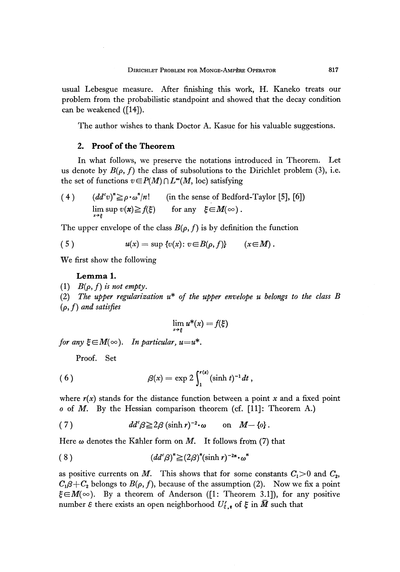usual Lebesgue measure. After finishing this work, H. Kaneko treats our problem from the probabilistic standpoint and showed that the decay condition can be weakened ([14]).

The author wishes to thank Doctor A. Kasue for his valuable suggestions.

### 2. Proof of the Theorem

In what follows, we preserve the notations introduced in Theorem. Let us denote by  $B(\rho, f)$  the class of subsolutions to the Dirichlet problem (3), i.e. the set of functions  $v \in P(M) \cap L^{\infty}(M, \text{loc})$  satisfying

(4) 
$$
(dd^c v)^{\prime\prime} \ge \rho \cdot \omega^{\prime\prime}/n!
$$
 (in the sense of Bedford-Taylor [5], [6])  
\n
$$
\lim_{x \to \xi} \sup v(x) \ge f(\xi) \quad \text{for any } \xi \in M(\infty).
$$

The upper envelope of the class  $B(\rho, f)$  is by definition the function

(5) 
$$
u(x) = \sup \{v(x): v \in B(\rho, f)\} \qquad (x \in M).
$$

We first show the following

#### Lemma 1.

(1)  $B(\rho, f)$  *is not empty.* 

(2) *The upper regularizatίon u\* of the upper envelope u belongs to the class B* (p, /) *and satisfies*

$$
\lim_{x\to\xi}u^*(x)=f(\xi)
$$

*for any*  $\xi \in M(\infty)$ . *In particular, u*=u<sup>\*</sup>.

Proof. Set

(6) 
$$
\beta(x) = \exp 2 \int_1^{r(x)} (\sinh t)^{-1} dt,
$$

where  $r(x)$  stands for the distance function between a point x and a fixed point *o* of M. By the Hessian comparison theorem (cf. [11]: Theorem A.)

(7) 
$$
dd^c \beta \geq 2\beta (\sinh r)^{-2} \cdot \omega \quad \text{on} \quad M - \{0\}.
$$

Here  $\omega$  denotes the Kähler form on M. It follows from (7) that

$$
(8) \qquad (dd^c \beta)^n \geq (2\beta)^n (\sinh r)^{-2n} \cdot \omega^n
$$

as positive currents on M. This shows that for some constants  $C_1 > 0$  and  $C_2$ ,  $C_1\beta+C_2$  belongs to  $B(\rho,f),$  because of the assumption (2). Now we fix a point  $\xi \in M(\infty)$ . By a theorem of Anderson ([1: Theorem 3.1]), for any positive number *ε* there exists an open neighborhood  $U'_{{\bf \xi},{\bf r}}$  of  ${\bf \xi}$  in  $M$  such that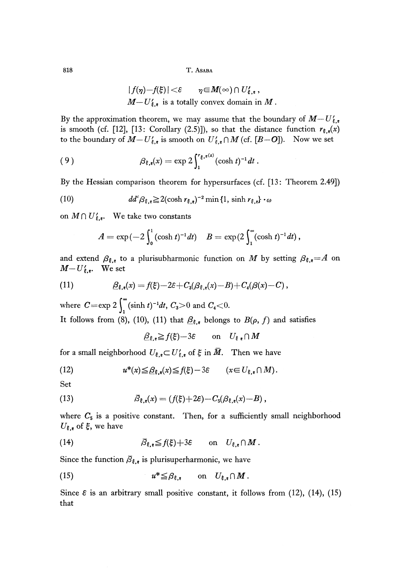818 T. ASABA

$$
|f(\eta)-f(\xi)| < \varepsilon \qquad \eta \in M(\infty) \cap U'_{\xi,\varepsilon},
$$
  
 
$$
M-U'_{\xi,\varepsilon}
$$
 is a totally convex domain in M.

By the approximation theorem, we may assume that the boundary of  $M-U'_{\xi,\epsilon}$ is smooth (cf. [12], [13: Corollary (2.5)]), so that the distance function  $r_{\xi,\xi}(x)$ to the boundary of  $M - U'_{\xi, \epsilon}$  is smooth on  $U'_{\xi, \epsilon} \cap M$  (cf.  $[B{-}O]$ ). Now we set

(9) 
$$
\beta_{\xi,\epsilon}(x) = \exp 2 \int_1^{r_{\xi,\epsilon}(x)} (\cosh t)^{-1} dt.
$$

By the Hessian comparison theorem for hypersurfaces (cf. [13: Theorem 2.49])

(10) 
$$
dd^c \beta_{\xi,\epsilon} \geq 2(\cosh r_{\xi,\epsilon})^{-2} \min\{1, \sinh r_{\xi,\epsilon}\} \cdot \omega
$$

on  $M \cap U'_{\xi,\epsilon}$ . We take two constants

$$
A = \exp(-2\int_0^1 (\cosh t)^{-1} dt) \quad B = \exp(2\int_1^\infty (\cosh t)^{-1} dt),
$$

and extend  $\beta_{\xi,\xi}$  to a plurisubharmonic function on M by setting  $\beta_{\xi,\xi} = A$  on  $M-U'_{\xi,\epsilon}$ . We set

(11) 
$$
\underline{\beta}_{\xi,\mathbf{r}}(x) = f(\xi) - 2\varepsilon + C_3(\beta_{\xi,\mathbf{r}}(x) - B) + C_4(\beta(x) - C),
$$

where  $C = \exp 2 \int_{0}^{\infty} (\sinh t)^{-1} dt$ ,  $C_3 > 0$  and  $C_4 < 0$ . It follows from (8), (10), (11) that  $\mathcal{B}_{\xi,\epsilon}$  belongs to  $B(\rho, f)$  and satisfies

$$
\underline{\beta}_{\xi,\epsilon} \geqq f(\xi) - 3\epsilon \qquad \text{on} \quad U_{\xi,\epsilon} \cap M
$$

for a small neighborhood  $U_{\xi, \epsilon} {\subset} U'_{\xi, \epsilon}$  of  $\xi$  in  $\bar{M}$ . Then we have

(12) 
$$
u^*(x) \leq \underline{\beta}_{\xi,\epsilon}(x) \leq f(\xi) - 3\epsilon \qquad (x \in U_{\xi,\epsilon} \cap M).
$$

Set

(13) 
$$
\bar{\beta}_{\xi,\xi}(x) = (f(\xi) + 2\varepsilon) - C_{5}(\beta_{\xi,\xi}(x) - B),
$$

where  $C_5$  is a positive constant. Then, for a sufficiently small neighborhood  $U_{\boldsymbol{\xi},\boldsymbol{\epsilon}}$  of  $\xi,$  we have

(14) 
$$
\overline{\beta}_{\xi,\epsilon} \leqq f(\xi) + 3\epsilon \quad \text{on} \quad U_{\xi,\epsilon} \cap M.
$$

Since the function  $\overline{\beta}_{\xi,\epsilon}$  is plurisuperharmonic, we have

(15) 
$$
u^* \leq \beta_{\xi,\epsilon} \quad \text{on} \quad U_{\xi,\epsilon} \cap M.
$$

Since  $\varepsilon$  is an arbitrary small positive constant, it follows from (12), (14), (15) that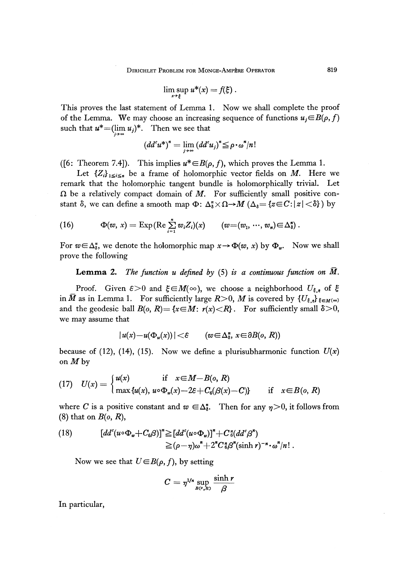$$
\limsup_{x\to\xi}u^*(x)=f(\xi).
$$

This proves the last statement of Lemma 1. Now we shall complete the proof of the Lemma. We may choose an increasing sequence of functions  $u_j{\in}B(\rho,f)$ such that  $u^* = (\lim_{i \to \infty} u_i)^*$ . Then we see that

$$
(dd^c u^*)^* = \lim_{j \to \infty} (dd^c u_j)^* \leq \rho \cdot \omega^* / n!
$$

([6: Theorem 7.4]). This implies  $u^* \in B(\rho, f)$ , which proves the Lemma 1.

Let  ${Z_i}_{1 \leq i \leq n}$  be a frame of holomorphic vector fields on *M*. Here we remark that the holomorphic tangent bundle is holomorphically trivial. Let  $\Omega$  be a relatively compact domain of  $M$ . For sufficiently small positive constant  $\delta$ , we can define a smooth map  $\Phi$ :  $\Delta_{\delta}^{*} \times \Omega \rightarrow M$  ( $\Delta_{\delta} = \{z \in C : |z| < \delta\}$ ) by

(16) 
$$
\Phi(w, x) = \text{Exp}(\text{Re}\sum_{i=1}^{n} w_i Z_i)(x) \qquad (w = (w_1, \dots, w_n) \in \Delta_{\delta}^n).
$$

For  $w \in \Delta_{\delta}^n$ , we denote the holomorphic map  $x \to \Phi(w, x)$  by  $\Phi_w$ . Now we shall prove the following

**Lemma** 2. *The function u defined by* (5) *is a continuous function on M.*

Proof. Given  $\varepsilon > 0$  and  $\xi \in M(\infty)$ , we choose a neighborhood  $U_{\xi, \varepsilon}$  of  $\xi$ in  $\bar{M}$  as in Lemma 1. For sufficiently large  $R{>}0,$   $M$  is covered by  $\{U_{\xi,s}\}_{\xi \in M^{(\infty)}}$ and the geodesic ball  $B(o, R) = \{x \in M: r(x) < R\}$ . For sufficiently small  $\delta > 0$ , we may assume that

$$
|u(x)-u(\Phi_w(x))|<\varepsilon \qquad (w\in\Delta_5^n,\ x\in\partial B(o,\ R))
$$

because of (12), (14), (15). Now we define a plurisubharmonic function  $U(x)$ on *Mby*

(17) 
$$
U(x) = \begin{cases} u(x) & \text{if } x \in M - B(o, R) \\ \max{u(x), u \circ \Phi_w(x) - 2\varepsilon + C_6(\beta(x) - C)} & \text{if } x \in B(o, R) \end{cases}
$$

where *C* is a positive constant and  $w \in \Delta_{\delta}^n$ . Then for any  $\eta > 0$ , it follows from (8) that on *B(o, R),*

(18) 
$$
[dd^{c}(u\circ\Phi_{w}+C_{6}\beta)]^{n}\geq [dd^{c}(u\circ\Phi_{w})]^{n}+C^{n}_{6}(dd^{c}\beta^{n})
$$

$$
\geq(\rho-\eta)\omega^{n}+2^{n}C^{n}_{6}\beta^{n}(\sinh r)^{-n}\cdot\omega^{n}/n!.
$$

Now we see that  $U \in B(\rho, f)$ , by setting

$$
C=\eta^{1/n}\sup_{B(o,R)}\frac{\sinh r}{\beta}
$$

In particular,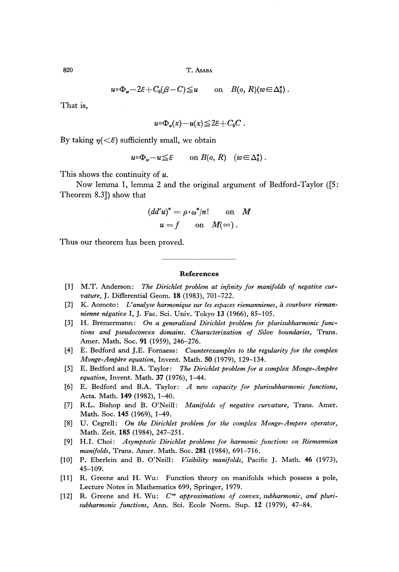$$
u \circ \Phi_w - 2\varepsilon + C_6(\beta - C) \le u
$$
 on  $B(o, R)(w \in \Delta_{\delta}^n)$ .

That is,

$$
u\circ\Phi_w(x)-u(x)\leq 2\varepsilon+C_6C.
$$

By taking  $\eta \langle \langle \xi \rangle$  sufficiently small, we obtain

$$
u \circ \Phi_w - u \leq \varepsilon
$$
 on  $B(o, R)$   $(w \in \Delta_{\delta}^n)$ .

This shows the continuity of *u.*

Now lemma 1, lemma 2 and the original argument of Bedford-Taylor ([5: Theorem 8.3]) show that

$$
(ddsu)n = \rho \cdot \omegan/n!
$$
 on *M*  
 $u = f$  on *M*( $\infty$ ).

Thus our theorem has been proved.

#### **References**

- [1] M.T. Anderson: The Dirichlet problem at infinity for manifolds of negative cur*vature,* J. Differential Geom. **18** (1983), 701-722.
- [2] K. Aomoto: *U analyse harmonique sur les espaces riemannienes, a courbure riemannienne negative* I, J. Fac. Sci. Univ. Tokyo **13** (1966), 85-105.
- [3] H. Bremermann: *On a generalized Dirichlet problem for plurisubharmonic functions and pseudoconvex domains. Characterization of Silov boundaries,* Trans. Amer. Math. Soc. **91** (1959), 246-276.
- [4] E. Bedford and J.E. Fornaess: *Counterexamples to the regularity for the complex Monge-Ampère equation, Invent. Math.* 50 (1979), 129-134.
- [5] E. Bedford and B.A. Taylor: *The Dirichlet problem for a complex Monge-Ampδre equation,* Invent. Math. 37 (1976), 1-44.
- [6] E. Bedford and B.A. Taylor: *A new capacity for plurisubharmonic functions,* Acta. Math. **149** (1982), 1-40.
- [7] R.L. Bishop and B. O'Neill: *Manifolds of negative curvature,* Trans. Amer. Math. Soc. 145 (1969), 1-49.
- [8] U. Cegrell: *On the Dirichlet problem for the complex Monge-Ampere operator,* Math. Zeit. **185** (1984), 247-251.
- [9] H.I. Choi: *Asymptotic Dirichlet problems for harmonic functions on Riemannian manifolds,* Trans. Amer. Math. Soc. **281** (1984), 691-716.
- [10] P. Eberlein and B. O'Neill: *Visibility manifolds,* Pacific J. Math. 46 (1973), 45-109.
- [11] R. Greene and H. Wu: Function theory on manifolds which possess a pole, Lecture Notes in Mathematics 699, Springer, 1979.
- [12] R. Greene and H. Wu: *C°° approximations of convex, subharmonic, and plurisubharmonic functions,* Ann. Sci. Ecole Norm. Sup. **12** (1979), 47-84.